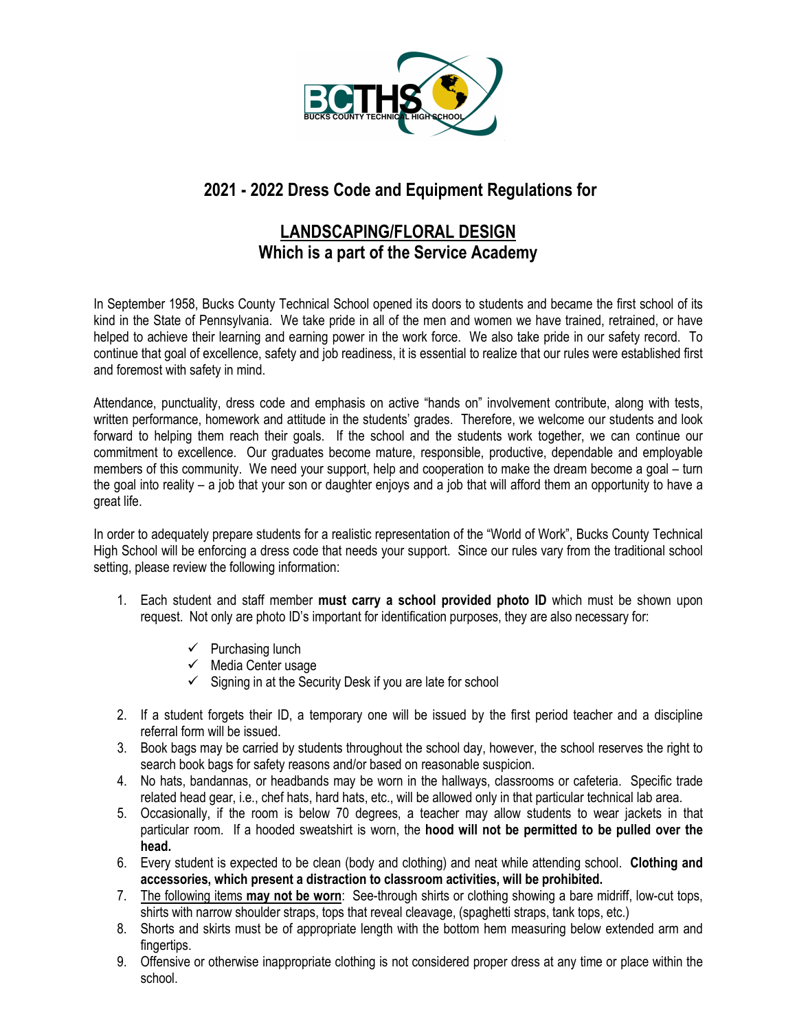

# **2021 - 2022 Dress Code and Equipment Regulations for**

# **LANDSCAPING/FLORAL DESIGN Which is a part of the Service Academy**

In September 1958, Bucks County Technical School opened its doors to students and became the first school of its kind in the State of Pennsylvania. We take pride in all of the men and women we have trained, retrained, or have helped to achieve their learning and earning power in the work force. We also take pride in our safety record. To continue that goal of excellence, safety and job readiness, it is essential to realize that our rules were established first and foremost with safety in mind.

Attendance, punctuality, dress code and emphasis on active "hands on" involvement contribute, along with tests, written performance, homework and attitude in the students' grades. Therefore, we welcome our students and look forward to helping them reach their goals. If the school and the students work together, we can continue our commitment to excellence. Our graduates become mature, responsible, productive, dependable and employable members of this community. We need your support, help and cooperation to make the dream become a goal – turn the goal into reality – a job that your son or daughter enjoys and a job that will afford them an opportunity to have a great life.

In order to adequately prepare students for a realistic representation of the "World of Work", Bucks County Technical High School will be enforcing a dress code that needs your support. Since our rules vary from the traditional school setting, please review the following information:

- 1. Each student and staff member **must carry a school provided photo ID** which must be shown upon request. Not only are photo ID's important for identification purposes, they are also necessary for:
	- $\checkmark$  Purchasing lunch
	- $\checkmark$  Media Center usage
	- $\checkmark$  Signing in at the Security Desk if you are late for school
- 2. If a student forgets their ID, a temporary one will be issued by the first period teacher and a discipline referral form will be issued.
- 3. Book bags may be carried by students throughout the school day, however, the school reserves the right to search book bags for safety reasons and/or based on reasonable suspicion.
- 4. No hats, bandannas, or headbands may be worn in the hallways, classrooms or cafeteria. Specific trade related head gear, i.e., chef hats, hard hats, etc., will be allowed only in that particular technical lab area.
- 5. Occasionally, if the room is below 70 degrees, a teacher may allow students to wear jackets in that particular room. If a hooded sweatshirt is worn, the **hood will not be permitted to be pulled over the head.**
- 6. Every student is expected to be clean (body and clothing) and neat while attending school. **Clothing and accessories, which present a distraction to classroom activities, will be prohibited.**
- 7. The following items **may not be worn**: See-through shirts or clothing showing a bare midriff, low-cut tops, shirts with narrow shoulder straps, tops that reveal cleavage, (spaghetti straps, tank tops, etc.)
- 8. Shorts and skirts must be of appropriate length with the bottom hem measuring below extended arm and fingertips.
- 9. Offensive or otherwise inappropriate clothing is not considered proper dress at any time or place within the school.